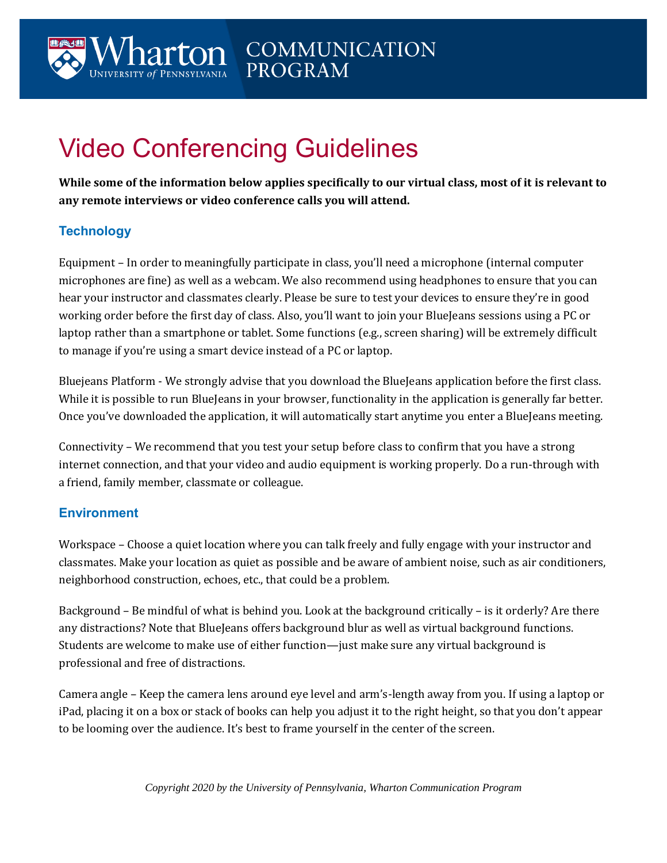# Video Conferencing Guidelines

**While some of the information below applies specifically to our virtual class, most of it is relevant to any remote interviews or video conference calls you will attend.**

## **Technology**

Equipment – In order to meaningfully participate in class, you'll need a microphone (internal computer microphones are fine) as well as a webcam. We also recommend using headphones to ensure that you can hear your instructor and classmates clearly. Please be sure to test your devices to ensure they're in good working order before the first day of class. Also, you'll want to join your BlueJeans sessions using a PC or laptop rather than a smartphone or tablet. Some functions (e.g., screen sharing) will be extremely difficult to manage if you're using a smart device instead of a PC or laptop.

Bluejeans Platform - We strongly advise that you download the BlueJeans application before the first class. While it is possible to run BlueJeans in your browser, functionality in the application is generally far better. Once you've downloaded the application, it will automatically start anytime you enter a BlueJeans meeting.

Connectivity – We recommend that you test your setup before class to confirm that you have a strong internet connection, and that your video and audio equipment is working properly. Do a run-through with a friend, family member, classmate or colleague.

#### **Environment**

Workspace – Choose a quiet location where you can talk freely and fully engage with your instructor and classmates. Make your location as quiet as possible and be aware of ambient noise, such as air conditioners, neighborhood construction, echoes, etc., that could be a problem.

Background – Be mindful of what is behind you. Look at the background critically – is it orderly? Are there any distractions? Note that BlueJeans offers background blur as well as virtual background functions. Students are welcome to make use of either function—just make sure any virtual background is professional and free of distractions.

Camera angle – Keep the camera lens around eye level and arm's-length away from you. If using a laptop or iPad, placing it on a box or stack of books can help you adjust it to the right height, so that you don't appear to be looming over the audience. It's best to frame yourself in the center of the screen.